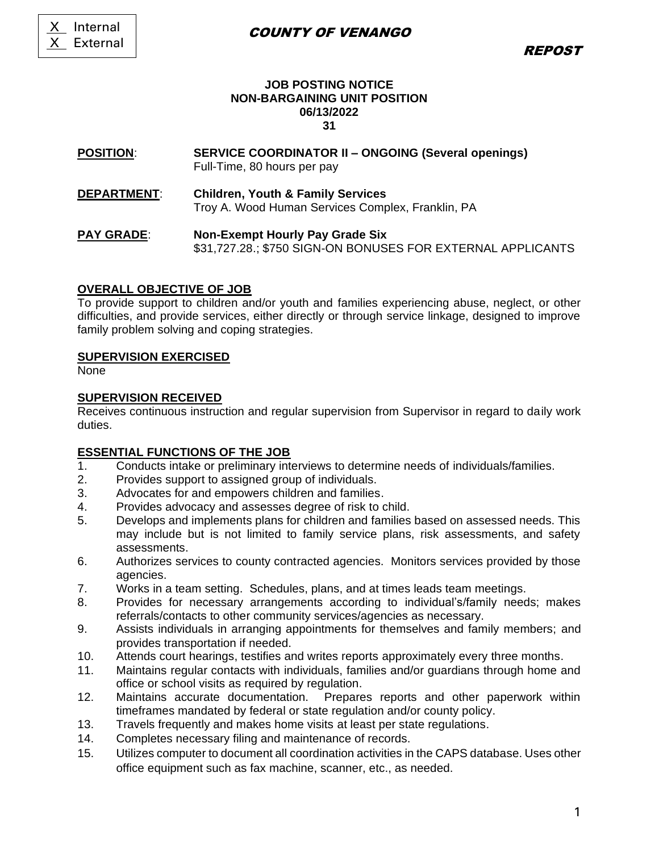# COUNTY OF VENANGO

REPOST

#### **JOB POSTING NOTICE NON-BARGAINING UNIT POSITION 06/13/2022 31**

#### **POSITION**: **SERVICE COORDINATOR II – ONGOING (Several openings)** Full-Time, 80 hours per pay

**DEPARTMENT**: **Children, Youth & Family Services** Troy A. Wood Human Services Complex, Franklin, PA

#### **PAY GRADE**: **Non-Exempt Hourly Pay Grade Six** \$31,727.28.; \$750 SIGN-ON BONUSES FOR EXTERNAL APPLICANTS

## **OVERALL OBJECTIVE OF JOB**

To provide support to children and/or youth and families experiencing abuse, neglect, or other difficulties, and provide services, either directly or through service linkage, designed to improve family problem solving and coping strategies.

## **SUPERVISION EXERCISED**

None

## **SUPERVISION RECEIVED**

Receives continuous instruction and regular supervision from Supervisor in regard to daily work duties.

# **ESSENTIAL FUNCTIONS OF THE JOB**

- 1. Conducts intake or preliminary interviews to determine needs of individuals/families.
- 2. Provides support to assigned group of individuals.
- 3. Advocates for and empowers children and families.
- 4. Provides advocacy and assesses degree of risk to child.
- 5. Develops and implements plans for children and families based on assessed needs. This may include but is not limited to family service plans, risk assessments, and safety assessments.
- 6. Authorizes services to county contracted agencies. Monitors services provided by those agencies.
- 7. Works in a team setting. Schedules, plans, and at times leads team meetings.
- 8. Provides for necessary arrangements according to individual's/family needs; makes referrals/contacts to other community services/agencies as necessary.
- 9. Assists individuals in arranging appointments for themselves and family members; and provides transportation if needed.
- 10. Attends court hearings, testifies and writes reports approximately every three months.
- 11. Maintains regular contacts with individuals, families and/or guardians through home and office or school visits as required by regulation.
- 12. Maintains accurate documentation. Prepares reports and other paperwork within timeframes mandated by federal or state regulation and/or county policy.
- 13. Travels frequently and makes home visits at least per state regulations.
- 14. Completes necessary filing and maintenance of records.
- 15. Utilizes computer to document all coordination activities in the CAPS database. Uses other office equipment such as fax machine, scanner, etc., as needed.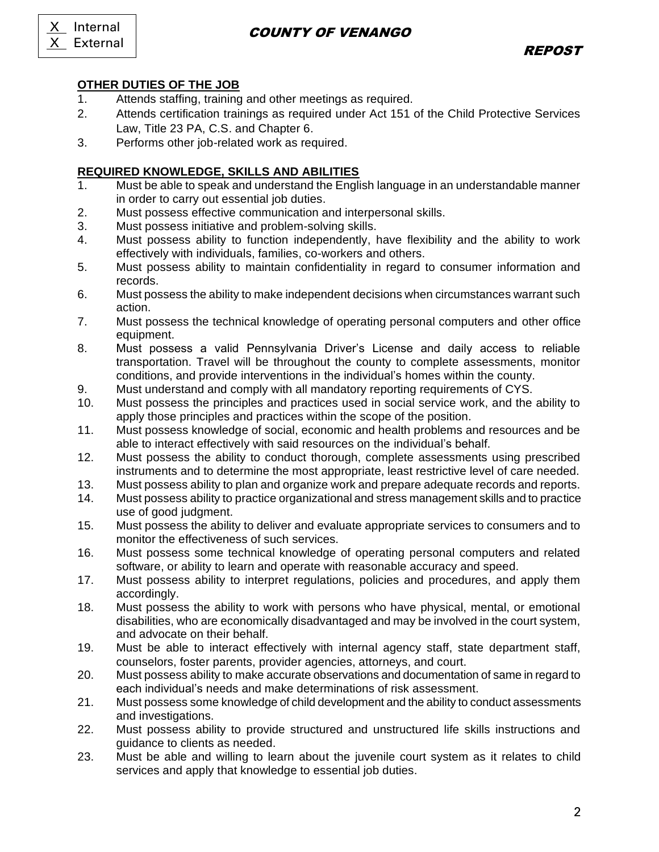X Internal X External

# COUNTY OF VENANGO

# **OTHER DUTIES OF THE JOB**

- 1. Attends staffing, training and other meetings as required.
- 2. Attends certification trainings as required under Act 151 of the Child Protective Services Law, Title 23 PA, C.S. and Chapter 6.
- 3. Performs other job-related work as required.

# **REQUIRED KNOWLEDGE, SKILLS AND ABILITIES**

- 1. Must be able to speak and understand the English language in an understandable manner in order to carry out essential job duties.
- 2. Must possess effective communication and interpersonal skills.
- 3. Must possess initiative and problem-solving skills.
- 4. Must possess ability to function independently, have flexibility and the ability to work effectively with individuals, families, co-workers and others.
- 5. Must possess ability to maintain confidentiality in regard to consumer information and records.
- 6. Must possess the ability to make independent decisions when circumstances warrant such action.
- 7. Must possess the technical knowledge of operating personal computers and other office equipment.
- 8. Must possess a valid Pennsylvania Driver's License and daily access to reliable transportation. Travel will be throughout the county to complete assessments, monitor conditions, and provide interventions in the individual's homes within the county.
- 9. Must understand and comply with all mandatory reporting requirements of CYS.
- 10. Must possess the principles and practices used in social service work, and the ability to apply those principles and practices within the scope of the position.
- 11. Must possess knowledge of social, economic and health problems and resources and be able to interact effectively with said resources on the individual's behalf.
- 12. Must possess the ability to conduct thorough, complete assessments using prescribed instruments and to determine the most appropriate, least restrictive level of care needed.
- 13. Must possess ability to plan and organize work and prepare adequate records and reports.
- 14. Must possess ability to practice organizational and stress management skills and to practice use of good judgment.
- 15. Must possess the ability to deliver and evaluate appropriate services to consumers and to monitor the effectiveness of such services.
- 16. Must possess some technical knowledge of operating personal computers and related software, or ability to learn and operate with reasonable accuracy and speed.
- 17. Must possess ability to interpret regulations, policies and procedures, and apply them accordingly.
- 18. Must possess the ability to work with persons who have physical, mental, or emotional disabilities, who are economically disadvantaged and may be involved in the court system, and advocate on their behalf.
- 19. Must be able to interact effectively with internal agency staff, state department staff, counselors, foster parents, provider agencies, attorneys, and court.
- 20. Must possess ability to make accurate observations and documentation of same in regard to each individual's needs and make determinations of risk assessment.
- 21. Must possess some knowledge of child development and the ability to conduct assessments and investigations.
- 22. Must possess ability to provide structured and unstructured life skills instructions and guidance to clients as needed.
- 23. Must be able and willing to learn about the juvenile court system as it relates to child services and apply that knowledge to essential job duties.